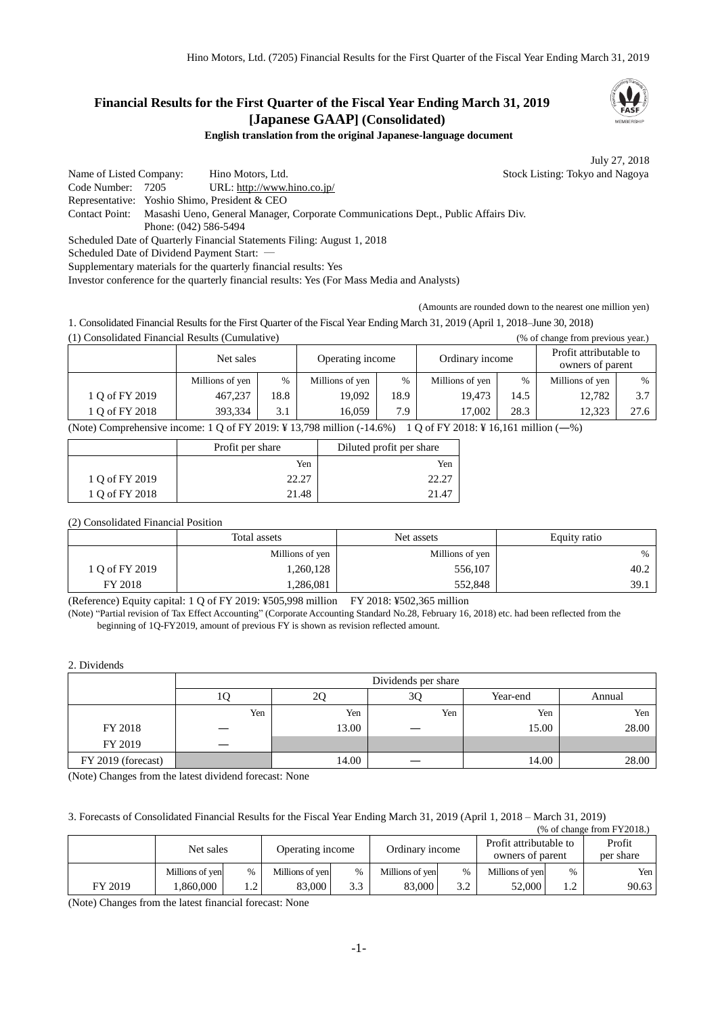# **Financial Results for the First Quarter of the Fiscal Year Ending March 31, 2019 [Japanese GAAP] (Consolidated)**

**English translation from the original Japanese-language document**

July 27, 2018

Name of Listed Company: Hino Motors, Ltd. Stock Listing: Tokyo and Nagoya Code Number: 7205 URL: http://www.hino.co.jp/ Representative: Yoshio Shimo, President & CEO Contact Point: Masashi Ueno, General Manager, Corporate Communications Dept., Public Affairs Div. Phone: (042) 586-5494 Scheduled Date of Quarterly Financial Statements Filing: August 1, 2018 Scheduled Date of Dividend Payment Start: -Supplementary materials for the quarterly financial results: Yes

Investor conference for the quarterly financial results: Yes (For Mass Media and Analysts)

(Amounts are rounded down to the nearest one million yen)

1. Consolidated Financial Results for the First Quarter of the Fiscal Year Ending March 31, 2019 (April 1, 2018–June 30, 2018) (1) Consolidated Financial Results (Cumulative) (% of change from previous year.)

|                | Net sales       |      | Operating income |      | Ordinary income |      | Profit attributable to<br>owners of parent |               |
|----------------|-----------------|------|------------------|------|-----------------|------|--------------------------------------------|---------------|
|                | Millions of yen | $\%$ | Millions of yen  | $\%$ | Millions of yen | %    | Millions of yen                            | $\frac{0}{0}$ |
| 1 Q of FY 2019 | 467,237         | 18.8 | 19.092           | 18.9 | 19.473          | 14.5 | 12,782                                     | 3.7           |
| 1 O of FY 2018 | 393.334         | 3.1  | 16.059           | 7.9  | 17.002          | 28.3 | 12.323                                     | 27.6          |

(Note) Comprehensive income: 1 Q of FY 2019: ¥ 13,798 million (-14.6%) 1 Q of FY 2018: ¥ 16,161 million (―%)

|                | Profit per share | Diluted profit per share |
|----------------|------------------|--------------------------|
|                | Yen              | Yen                      |
| 1 Q of FY 2019 | 22.27            |                          |
| 1 Q of FY 2018 | 21.48            | 214                      |

# (2) Consolidated Financial Position

|                | Total assets    | Net assets      | Equity ratio  |  |
|----------------|-----------------|-----------------|---------------|--|
|                | Millions of yen | Millions of yen | $\frac{0}{0}$ |  |
| 1 O of FY 2019 | .260,128        | 556,107         | 40.2          |  |
| FY 2018        | .286,081        | 552,848         | 39.1          |  |

(Reference) Equity capital: 1 Q of FY 2019: ¥505,998 million FY 2018: ¥502,365 million

(Note) "Partial revision of Tax Effect Accounting" (Corporate Accounting Standard No.28, February 16, 2018) etc. had been reflected from the beginning of 1Q-FY2019, amount of previous FY is shown as revision reflected amount.

#### 2. Dividends

|                    | Dividends per share |       |     |          |        |  |  |
|--------------------|---------------------|-------|-----|----------|--------|--|--|
|                    | U                   | ∠⊾    | 3Q  | Year-end | Annual |  |  |
|                    | Yen                 | Yen   | Yen | Yen      | Yen    |  |  |
| FY 2018            |                     | 13.00 |     | 15.00    | 28.00  |  |  |
| FY 2019            |                     |       |     |          |        |  |  |
| FY 2019 (forecast) |                     | 14.00 |     | 14.00    | 28.00  |  |  |

(Note) Changes from the latest dividend forecast: None

## 3. Forecasts of Consolidated Financial Results for the Fiscal Year Ending March 31, 2019 (April 1, 2018 – March 31, 2019)

| $%$ of change from $FY2018$ . |                 |           |                  |      |                 |      |                                            |        |                     |
|-------------------------------|-----------------|-----------|------------------|------|-----------------|------|--------------------------------------------|--------|---------------------|
|                               | Net sales       |           | Operating income |      | Ordinary income |      | Profit attributable to<br>owners of parent |        | Profit<br>per share |
|                               | Millions of yen | $\%$      | Millions of yen  | $\%$ | Millions of yen | $\%$ | Millions of yen                            | $\%$   | Yen                 |
| FY 2019                       | .860.000        | $\bigcap$ | 83,000           | 3.3  | 83,000          | 3.2  | 52,000                                     | $\eta$ | 90.63               |

(Note) Changes from the latest financial forecast: None